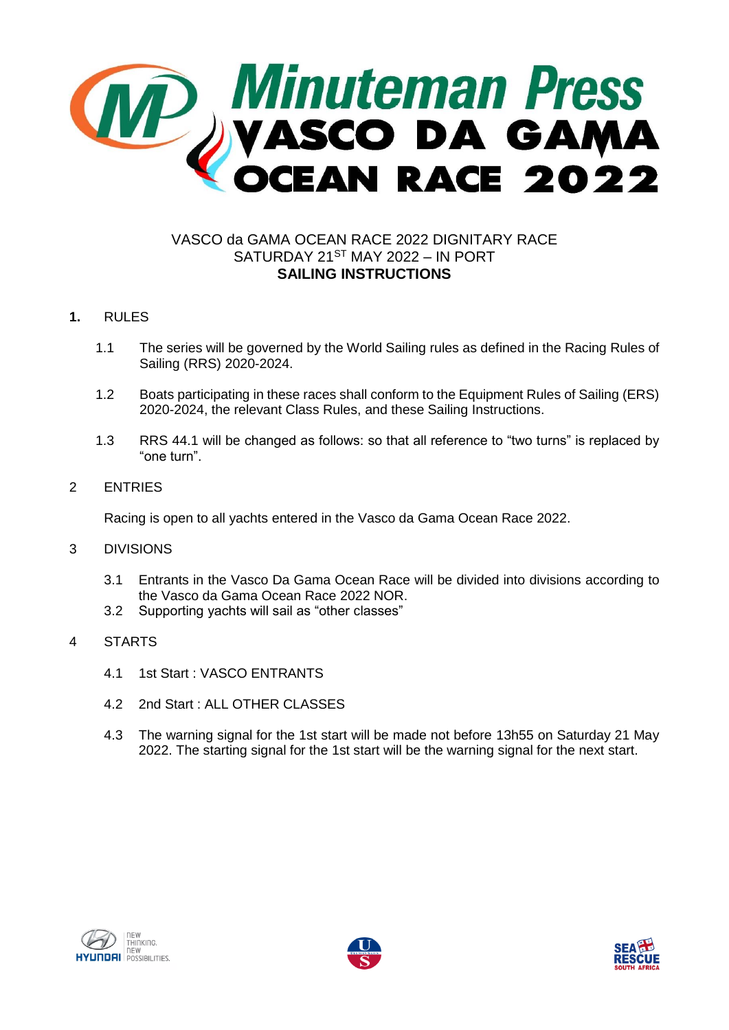

# VASCO da GAMA OCEAN RACE 2022 DIGNITARY RACE SATURDAY 21ST MAY 2022 – IN PORT **SAILING INSTRUCTIONS**

# **1.** RULES

- 1.1 The series will be governed by the World Sailing rules as defined in the Racing Rules of Sailing (RRS) 2020-2024.
- 1.2 Boats participating in these races shall conform to the Equipment Rules of Sailing (ERS) 2020-2024, the relevant Class Rules, and these Sailing Instructions.
- 1.3 RRS 44.1 will be changed as follows: so that all reference to "two turns" is replaced by "one turn".

## 2 ENTRIES

Racing is open to all yachts entered in the Vasco da Gama Ocean Race 2022.

#### 3 DIVISIONS

- 3.1 Entrants in the Vasco Da Gama Ocean Race will be divided into divisions according to the Vasco da Gama Ocean Race 2022 NOR.
- 3.2 Supporting yachts will sail as "other classes"
- 4 STARTS
	- 4.1 1st Start : VASCO ENTRANTS
	- 4.2 2nd Start : ALL OTHER CLASSES
	- 4.3 The warning signal for the 1st start will be made not before 13h55 on Saturday 21 May 2022. The starting signal for the 1st start will be the warning signal for the next start.





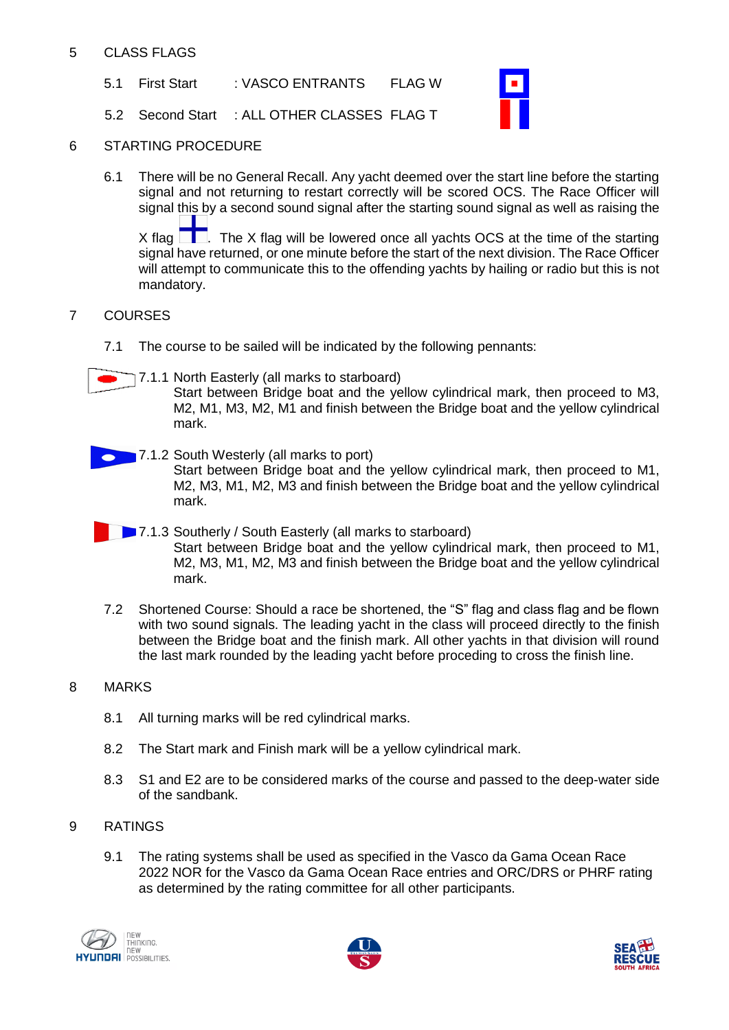## 5 CLASS FLAGS

5.1 First Start : VASCO ENTRANTS FLAG W

5.2 Second Start : ALL OTHER CLASSES FLAG T



## 6 STARTING PROCEDURE

6.1 There will be no General Recall. Any yacht deemed over the start line before the starting signal and not returning to restart correctly will be scored OCS. The Race Officer will signal this by a second sound signal after the starting sound signal as well as raising the X flag  $\Box$ . The X flag will be lowered once all yachts OCS at the time of the starting signal have returned, or one minute before the start of the next division. The Race Officer will attempt to communicate this to the offending yachts by hailing or radio but this is not mandatory.

# 7 COURSES

- 7.1 The course to be sailed will be indicated by the following pennants:
- 7.1.1 North Easterly (all marks to starboard) Start between Bridge boat and the yellow cylindrical mark, then proceed to M3, M2, M1, M3, M2, M1 and finish between the Bridge boat and the yellow cylindrical mark.
	- **7.1.2 South Westerly (all marks to port)** Start between Bridge boat and the yellow cylindrical mark, then proceed to M1, M2, M3, M1, M2, M3 and finish between the Bridge boat and the yellow cylindrical mark.
- **7.1.3 Southerly / South Easterly (all marks to starboard)** Start between Bridge boat and the yellow cylindrical mark, then proceed to M1, M2, M3, M1, M2, M3 and finish between the Bridge boat and the yellow cylindrical mark.
- 7.2 Shortened Course: Should a race be shortened, the "S" flag and class flag and be flown with two sound signals. The leading yacht in the class will proceed directly to the finish between the Bridge boat and the finish mark. All other yachts in that division will round the last mark rounded by the leading yacht before proceding to cross the finish line.
- 8 MARKS
	- 8.1 All turning marks will be red cylindrical marks.
	- 8.2 The Start mark and Finish mark will be a yellow cylindrical mark.
	- 8.3 S1 and E2 are to be considered marks of the course and passed to the deep-water side of the sandbank.

## 9 RATINGS

9.1 The rating systems shall be used as specified in the Vasco da Gama Ocean Race 2022 NOR for the Vasco da Gama Ocean Race entries and ORC/DRS or PHRF rating as determined by the rating committee for all other participants.





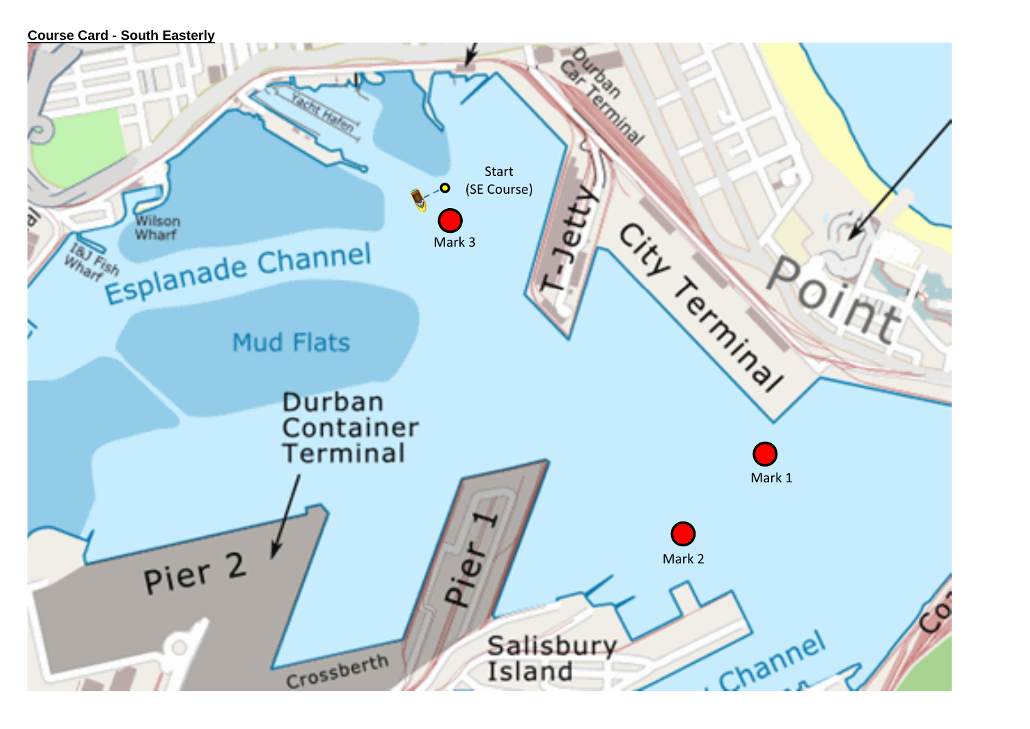```
Course Card - South Easterly
```